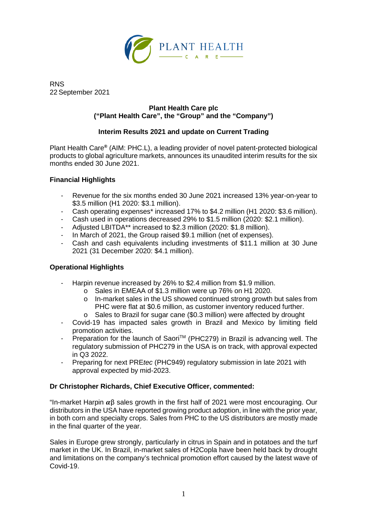

RNS 22 September 2021

## **Plant Health Care plc ("Plant Health Care", the "Group" and the "Company")**

# **Interim Results 2021 and update on Current Trading**

Plant Health Care**®** (AIM: PHC.L), a leading provider of novel patent-protected biological products to global agriculture markets, announces its unaudited interim results for the six months ended 30 June 2021.

# **Financial Highlights**

- Revenue for the six months ended 30 June 2021 increased 13% year-on-year to \$3.5 million (H1 2020: \$3.1 million).
- Cash operating expenses\* increased 17% to \$4.2 million (H1 2020: \$3.6 million).
- Cash used in operations decreased 29% to \$1.5 million (2020: \$2.1 million).
- Adjusted LBITDA\*\* increased to \$2.3 million (2020: \$1.8 million).
- In March of 2021, the Group raised \$9.1 million (net of expenses).
- Cash and cash equivalents including investments of \$11.1 million at 30 June 2021 (31 December 2020: \$4.1 million).

## **Operational Highlights**

- Harpin revenue increased by 26% to \$2.4 million from \$1.9 million.
	- o Sales in EMEAA of \$1.3 million were up 76% on H1 2020.
	- o In-market sales in the US showed continued strong growth but sales from PHC were flat at \$0.6 million, as customer inventory reduced further.
	- o Sales to Brazil for sugar cane (\$0.3 million) were affected by drought
- Covid-19 has impacted sales growth in Brazil and Mexico by limiting field promotion activities.
- Preparation for the launch of SaoriTM (PHC279) in Brazil is advancing well. The regulatory submission of PHC279 in the USA is on track, with approval expected in Q3 2022.
- Preparing for next PRE*tec* (PHC949) regulatory submission in late 2021 with approval expected by mid-2023.

## **Dr Christopher Richards, Chief Executive Officer, commented:**

"In-market Harpin  $\alpha\beta$  sales growth in the first half of 2021 were most encouraging. Our distributors in the USA have reported growing product adoption, in line with the prior year, in both corn and specialty crops. Sales from PHC to the US distributors are mostly made in the final quarter of the year.

Sales in Europe grew strongly, particularly in citrus in Spain and in potatoes and the turf market in the UK. In Brazil, in-market sales of H2Copla have been held back by drought and limitations on the company's technical promotion effort caused by the latest wave of Covid-19.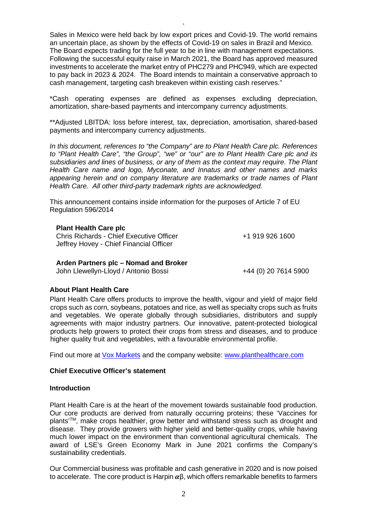Sales in Mexico were held back by low export prices and Covid-19. The world remains an uncertain place, as shown by the effects of Covid-19 on sales in Brazil and Mexico. The Board expects trading for the full year to be in line with management expectations. Following the successful equity raise in March 2021, the Board has approved measured investments to accelerate the market entry of PHC279 and PHC949, which are expected to pay back in 2023 & 2024. The Board intends to maintain a conservative approach to cash management, targeting cash breakeven within existing cash reserves."

`

\*Cash operating expenses are defined as expenses excluding depreciation, amortization, share-based payments and intercompany currency adjustments.

\*\*Adjusted LBITDA: loss before interest, tax, depreciation, amortisation, shared-based payments and intercompany currency adjustments.

*In this document, references to "the Company" are to Plant Health Care plc. References to "Plant Health Care", "the Group", "we" or "our" are to Plant Health Care plc and its subsidiaries and lines of business, or any of them as the context may require. The Plant Health Care name and logo, Myconate, and Innatus and other names and marks appearing herein and on company literature are trademarks or trade names of Plant Health Care. All other third-party trademark rights are acknowledged.*

This announcement contains inside information for the purposes of Article 7 of EU Regulation 596/2014

### **Plant Health Care plc**

Chris Richards - Chief Executive Officer Jeffrey Hovey - Chief Financial Officer

+1 919 926 1600

#### **Arden Partners plc – Nomad and Broker**

John Llewellyn-Lloyd / Antonio Bossi +44 (0) 20 7614 5900

#### **About Plant Health Care**

Plant Health Care offers products to improve the health, vigour and yield of major field crops such as corn, soybeans, potatoes and rice, as well as specialty crops such as fruits and vegetables. We operate globally through subsidiaries, distributors and supply agreements with major industry partners. Our innovative, patent-protected biological products help growers to protect their crops from stress and diseases, and to produce higher quality fruit and vegetables, with a favourable environmental profile.

Find out more at [Vox Markets](https://www.voxmarkets.co.uk/listings/LON/PHC) and the company website: [www.planthealthcare.com](http://www.planthealthcare.com/)

## **Chief Executive Officer's statement**

### **Introduction**

Plant Health Care is at the heart of the movement towards sustainable food production. Our core products are derived from naturally occurring proteins; these 'Vaccines for plants'<sup>™</sup>, make crops healthier, grow better and withstand stress such as drought and disease. They provide growers with higher yield and better-quality crops, while having much lower impact on the environment than conventional agricultural chemicals. The award of LSE's Green Economy Mark in June 2021 confirms the Company's sustainability credentials.

Our Commercial business was profitable and cash generative in 2020 and is now poised to accelerate. The core product is Harpin  $\alpha\beta$ , which offers remarkable benefits to farmers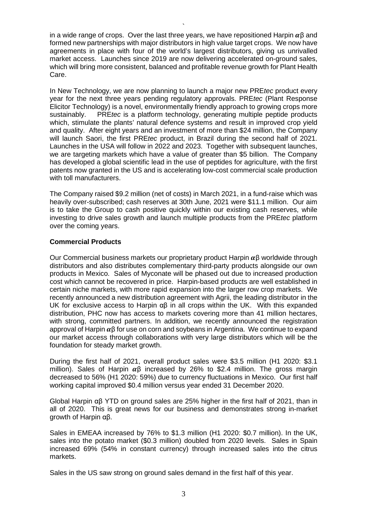in a wide range of crops. Over the last three years, we have repositioned Harpin  $\alpha$ B and formed new partnerships with major distributors in high value target crops. We now have agreements in place with four of the world's largest distributors, giving us unrivalled market access. Launches since 2019 are now delivering accelerated on-ground sales, which will bring more consistent, balanced and profitable revenue growth for Plant Health Care.

`

In New Technology, we are now planning to launch a major new PRE*tec* product every year for the next three years pending regulatory approvals. PRE*tec* (Plant Response Elicitor Technology) is a novel, environmentally friendly approach to growing crops more sustainably. PRE*tec* is a platform technology, generating multiple peptide products which, stimulate the plants' natural defence systems and result in improved crop yield and quality. After eight years and an investment of more than \$24 million, the Company will launch Saori, the first PRE*tec* product, in Brazil during the second half of 2021. Launches in the USA will follow in 2022 and 2023. Together with subsequent launches, we are targeting markets which have a value of greater than \$5 billion. The Company has developed a global scientific lead in the use of peptides for agriculture, with the first patents now granted in the US and is accelerating low-cost commercial scale production with toll manufacturers.

The Company raised \$9.2 million (net of costs) in March 2021, in a fund-raise which was heavily over-subscribed; cash reserves at 30th June, 2021 were \$11.1 million. Our aim is to take the Group to cash positive quickly within our existing cash reserves, while investing to drive sales growth and launch multiple products from the PRE*tec* platform over the coming years.

### **Commercial Products**

Our Commercial business markets our proprietary product Harpin  $\alpha$ β worldwide through distributors and also distributes complementary third-party products alongside our own products in Mexico. Sales of Myconate will be phased out due to increased production cost which cannot be recovered in price. Harpin-based products are well established in certain niche markets, with more rapid expansion into the larger row crop markets. We recently announced a new distribution agreement with Agrii, the leading distributor in the UK for exclusive access to Harpin αβ in all crops within the UK. With this expanded distribution, PHC now has access to markets covering more than 41 million hectares, with strong, committed partners. In addition, we recently announced the registration approval of Harpin  $\alpha\beta$  for use on corn and soybeans in Argentina. We continue to expand our market access through collaborations with very large distributors which will be the foundation for steady market growth.

During the first half of 2021, overall product sales were \$3.5 million (H1 2020: \$3.1 million). Sales of Harpin  $\alpha\beta$  increased by 26% to \$2.4 million. The gross margin decreased to 56% (H1 2020: 59%) due to currency fluctuations in Mexico. Our first half working capital improved \$0.4 million versus year ended 31 December 2020.

Global Harpin αβ YTD on ground sales are 25% higher in the first half of 2021, than in all of 2020. This is great news for our business and demonstrates strong in-market growth of Harpin αβ.

Sales in EMEAA increased by 76% to \$1.3 million (H1 2020: \$0.7 million). In the UK, sales into the potato market (\$0.3 million) doubled from 2020 levels. Sales in Spain increased 69% (54% in constant currency) through increased sales into the citrus markets.

Sales in the US saw strong on ground sales demand in the first half of this year.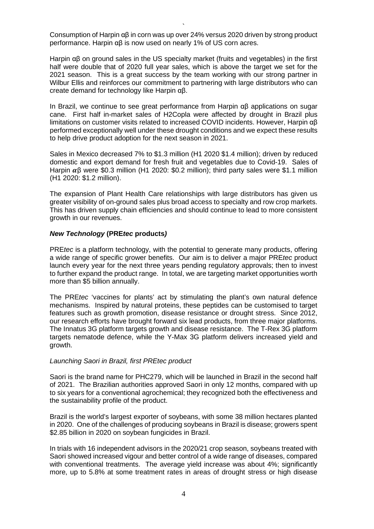` Consumption of Harpin αβ in corn was up over 24% versus 2020 driven by strong product performance. Harpin αβ is now used on nearly 1% of US corn acres.

Harpin αβ on ground sales in the US specialty market (fruits and vegetables) in the first half were double that of 2020 full year sales, which is above the target we set for the 2021 season. This is a great success by the team working with our strong partner in Wilbur Ellis and reinforces our commitment to partnering with large distributors who can create demand for technology like Harpin αβ.

In Brazil, we continue to see great performance from Harpin αβ applications on sugar cane. First half in-market sales of H2Copla were affected by drought in Brazil plus limitations on customer visits related to increased COVID incidents. However, Harpin αβ performed exceptionally well under these drought conditions and we expect these results to help drive product adoption for the next season in 2021.

Sales in Mexico decreased 7% to \$1.3 million (H1 2020 \$1.4 million); driven by reduced domestic and export demand for fresh fruit and vegetables due to Covid-19. Sales of Harpin  $\alpha\beta$  were \$0.3 million (H1 2020: \$0.2 million); third party sales were \$1.1 million (H1 2020: \$1.2 million).

The expansion of Plant Health Care relationships with large distributors has given us greater visibility of on-ground sales plus broad access to specialty and row crop markets. This has driven supply chain efficiencies and should continue to lead to more consistent growth in our revenues.

### *New Technology* **(PRE***tec* **products***)*

PRE*tec* is a platform technology, with the potential to generate many products, offering a wide range of specific grower benefits. Our aim is to deliver a major PRE*tec* product launch every year for the next three years pending regulatory approvals; then to invest to further expand the product range. In total, we are targeting market opportunities worth more than \$5 billion annually.

The PRE*tec* 'vaccines for plants' act by stimulating the plant's own natural defence mechanisms. Inspired by natural proteins, these peptides can be customised to target features such as growth promotion, disease resistance or drought stress. Since 2012, our research efforts have brought forward six lead products, from three major platforms. The Innatus 3G platform targets growth and disease resistance. The T-Rex 3G platform targets nematode defence, while the Y-Max 3G platform delivers increased yield and growth.

### *Launching Saori in Brazil, first PREtec product*

Saori is the brand name for PHC279, which will be launched in Brazil in the second half of 2021. The Brazilian authorities approved Saori in only 12 months, compared with up to six years for a conventional agrochemical; they recognized both the effectiveness and the sustainability profile of the product.

Brazil is the world's largest exporter of soybeans, with some 38 million hectares planted in 2020. One of the challenges of producing soybeans in Brazil is disease; growers spent \$2.85 billion in 2020 on soybean fungicides in Brazil.

In trials with 16 independent advisors in the 2020/21 crop season, soybeans treated with Saori showed increased vigour and better control of a wide range of diseases, compared with conventional treatments. The average yield increase was about 4%; significantly more, up to 5.8% at some treatment rates in areas of drought stress or high disease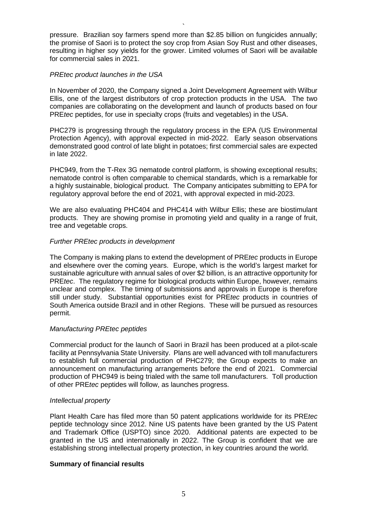pressure. Brazilian soy farmers spend more than \$2.85 billion on fungicides annually; the promise of Saori is to protect the soy crop from Asian Soy Rust and other diseases, resulting in higher soy yields for the grower. Limited volumes of Saori will be available for commercial sales in 2021.

`

## *PREtec product launches in the USA*

In November of 2020, the Company signed a Joint Development Agreement with Wilbur Ellis, one of the largest distributors of crop protection products in the USA. The two companies are collaborating on the development and launch of products based on four PRE*tec* peptides, for use in specialty crops (fruits and vegetables) in the USA.

PHC279 is progressing through the regulatory process in the EPA (US Environmental Protection Agency), with approval expected in mid-2022. Early season observations demonstrated good control of late blight in potatoes; first commercial sales are expected in late 2022.

PHC949, from the T-Rex 3G nematode control platform, is showing exceptional results; nematode control is often comparable to chemical standards, which is a remarkable for a highly sustainable, biological product. The Company anticipates submitting to EPA for regulatory approval before the end of 2021, with approval expected in mid-2023.

We are also evaluating PHC404 and PHC414 with Wilbur Ellis; these are biostimulant products. They are showing promise in promoting yield and quality in a range of fruit, tree and vegetable crops.

### *Further PREtec products in development*

The Company is making plans to extend the development of PRE*tec* products in Europe and elsewhere over the coming years. Europe, which is the world's largest market for sustainable agriculture with annual sales of over \$2 billion, is an attractive opportunity for PRE*tec*. The regulatory regime for biological products within Europe, however, remains unclear and complex. The timing of submissions and approvals in Europe is therefore still under study. Substantial opportunities exist for PRE*tec* products in countries of South America outside Brazil and in other Regions. These will be pursued as resources permit.

### *Manufacturing PREtec peptides*

Commercial product for the launch of Saori in Brazil has been produced at a pilot-scale facility at Pennsylvania State University. Plans are well advanced with toll manufacturers to establish full commercial production of PHC279; the Group expects to make an announcement on manufacturing arrangements before the end of 2021. Commercial production of PHC949 is being trialed with the same toll manufacturers. Toll production of other PRE*tec* peptides will follow, as launches progress.

### *Intellectual property*

Plant Health Care has filed more than 50 patent applications worldwide for its PRE*tec* peptide technology since 2012. Nine US patents have been granted by the US Patent and Trademark Office (USPTO) since 2020. Additional patents are expected to be granted in the US and internationally in 2022. The Group is confident that we are establishing strong intellectual property protection, in key countries around the world.

### **Summary of financial results**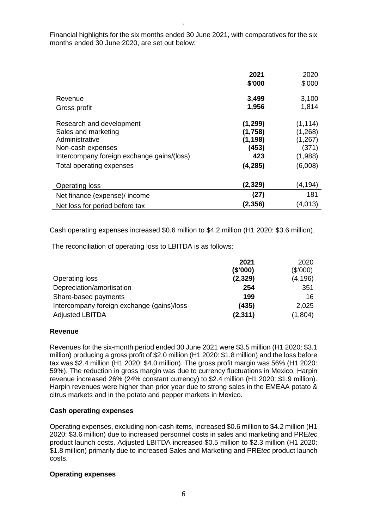` Financial highlights for the six months ended 30 June 2021, with comparatives for the six months ended 30 June 2020, are set out below:

|                                                                                                                                      | 2021<br>\$'000                                  | 2020<br>\$'000                                      |
|--------------------------------------------------------------------------------------------------------------------------------------|-------------------------------------------------|-----------------------------------------------------|
| Revenue<br>Gross profit                                                                                                              | 3,499<br>1,956                                  | 3,100<br>1,814                                      |
| Research and development<br>Sales and marketing<br>Administrative<br>Non-cash expenses<br>Intercompany foreign exchange gains/(loss) | (1, 299)<br>(1,758)<br>(1, 198)<br>(453)<br>423 | (1, 114)<br>(1,268)<br>(1, 267)<br>(371)<br>(1,988) |
| Total operating expenses                                                                                                             | (4, 285)<br>(2, 329)                            | (6,008)<br>(4, 194)                                 |
| <b>Operating loss</b><br>Net finance (expense)/ income<br>Net loss for period before tax                                             | (27)<br>(2,356)                                 | 181<br>(4,013)                                      |

Cash operating expenses increased \$0.6 million to \$4.2 million (H1 2020: \$3.6 million).

The reconciliation of operating loss to LBITDA is as follows:

|                                            | 2021     | 2020     |
|--------------------------------------------|----------|----------|
|                                            | (\$'000) | (\$'000) |
| Operating loss                             | (2, 329) | (4, 196) |
| Depreciation/amortisation                  | 254      | 351      |
| Share-based payments                       | 199      | 16       |
| Intercompany foreign exchange (gains)/loss | (435)    | 2,025    |
| <b>Adjusted LBITDA</b>                     | (2, 311) | (1,804)  |

### **Revenue**

Revenues for the six-month period ended 30 June 2021 were \$3.5 million (H1 2020: \$3.1 million) producing a gross profit of \$2.0 million (H1 2020: \$1.8 million) and the loss before tax was \$2.4 million (H1 2020: \$4.0 million). The gross profit margin was 56% (H1 2020: 59%). The reduction in gross margin was due to currency fluctuations in Mexico. Harpin revenue increased 26% (24% constant currency) to \$2.4 million (H1 2020: \$1.9 million). Harpin revenues were higher than prior year due to strong sales in the EMEAA potato & citrus markets and in the potato and pepper markets in Mexico.

### **Cash operating expenses**

Operating expenses, excluding non-cash items, increased \$0.6 million to \$4.2 million (H1 2020: \$3.6 million) due to increased personnel costs in sales and marketing and PRE*tec* product launch costs. Adjusted LBITDA increased \$0.5 million to \$2.3 million (H1 2020: \$1.8 million) primarily due to increased Sales and Marketing and PRE*tec* product launch costs.

### **Operating expenses**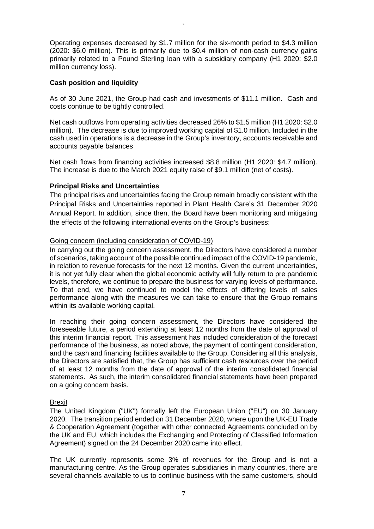Operating expenses decreased by \$1.7 million for the six-month period to \$4.3 million (2020: \$6.0 million). This is primarily due to \$0.4 million of non-cash currency gains primarily related to a Pound Sterling loan with a subsidiary company (H1 2020: \$2.0 million currency loss).

`

## **Cash position and liquidity**

As of 30 June 2021, the Group had cash and investments of \$11.1 million. Cash and costs continue to be tightly controlled.

Net cash outflows from operating activities decreased 26% to \$1.5 million (H1 2020: \$2.0 million). The decrease is due to improved working capital of \$1.0 million. Included in the cash used in operations is a decrease in the Group's inventory, accounts receivable and accounts payable balances

Net cash flows from financing activities increased \$8.8 million (H1 2020: \$4.7 million). The increase is due to the March 2021 equity raise of \$9.1 million (net of costs).

## **Principal Risks and Uncertainties**

The principal risks and uncertainties facing the Group remain broadly consistent with the Principal Risks and Uncertainties reported in Plant Health Care's 31 December 2020 Annual Report. In addition, since then, the Board have been monitoring and mitigating the effects of the following international events on the Group's business:

## Going concern (including consideration of COVID-19)

In carrying out the going concern assessment, the Directors have considered a number of scenarios, taking account of the possible continued impact of the COVID-19 pandemic, in relation to revenue forecasts for the next 12 months. Given the current uncertainties, it is not yet fully clear when the global economic activity will fully return to pre pandemic levels, therefore, we continue to prepare the business for varying levels of performance. To that end, we have continued to model the effects of differing levels of sales performance along with the measures we can take to ensure that the Group remains within its available working capital.

In reaching their going concern assessment, the Directors have considered the foreseeable future, a period extending at least 12 months from the date of approval of this interim financial report. This assessment has included consideration of the forecast performance of the business, as noted above, the payment of contingent consideration, and the cash and financing facilities available to the Group. Considering all this analysis, the Directors are satisfied that, the Group has sufficient cash resources over the period of at least 12 months from the date of approval of the interim consolidated financial statements. As such, the interim consolidated financial statements have been prepared on a going concern basis.

## Brexit

The United Kingdom ("UK") formally left the European Union ("EU") on 30 January 2020. The transition period ended on 31 December 2020, where upon the UK-EU Trade & Cooperation Agreement (together with other connected Agreements concluded on by the UK and EU, which includes the Exchanging and Protecting of Classified Information Agreement) signed on the 24 December 2020 came into effect.

The UK currently represents some 3% of revenues for the Group and is not a manufacturing centre. As the Group operates subsidiaries in many countries, there are several channels available to us to continue business with the same customers, should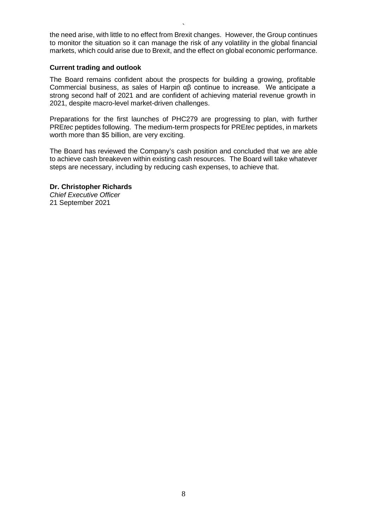the need arise, with little to no effect from Brexit changes. However, the Group continues to monitor the situation so it can manage the risk of any volatility in the global financial markets, which could arise due to Brexit, and the effect on global economic performance.

`

### **Current trading and outlook**

The Board remains confident about the prospects for building a growing, profitable Commercial business, as sales of Harpin αβ continue to increase. We anticipate a strong second half of 2021 and are confident of achieving material revenue growth in 2021, despite macro-level market-driven challenges.

Preparations for the first launches of PHC279 are progressing to plan, with further PRE*tec* peptides following. The medium-term prospects for PRE*tec* peptides, in markets worth more than \$5 billion, are very exciting.

The Board has reviewed the Company's cash position and concluded that we are able to achieve cash breakeven within existing cash resources. The Board will take whatever steps are necessary, including by reducing cash expenses, to achieve that.

### **Dr. Christopher Richards** *Chief Executive Officer*

21 September 2021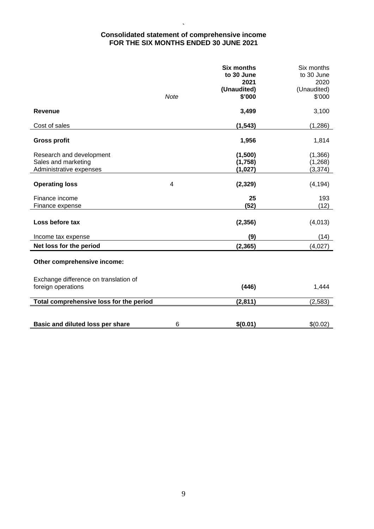### ` **Consolidated statement of comprehensive income FOR THE SIX MONTHS ENDED 30 JUNE 2021**

|                                         |                | <b>Six months</b><br>to 30 June | Six months<br>to 30 June |
|-----------------------------------------|----------------|---------------------------------|--------------------------|
|                                         |                | 2021                            | 2020                     |
|                                         |                | (Unaudited)                     | (Unaudited)              |
|                                         | <b>Note</b>    | \$'000                          | \$'000                   |
|                                         |                |                                 |                          |
| Revenue                                 |                | 3,499                           | 3,100                    |
| Cost of sales                           |                | (1, 543)                        | (1,286)                  |
|                                         |                |                                 |                          |
| <b>Gross profit</b>                     |                | 1,956                           | 1,814                    |
|                                         |                |                                 |                          |
| Research and development                |                | (1,500)                         | (1, 366)                 |
| Sales and marketing                     |                | (1,758)                         | (1,268)                  |
| Administrative expenses                 |                | (1,027)                         | (3, 374)                 |
| <b>Operating loss</b>                   | $\overline{4}$ | (2, 329)                        | (4, 194)                 |
|                                         |                |                                 |                          |
| Finance income                          |                | 25                              | 193                      |
| Finance expense                         |                | (52)                            | (12)                     |
|                                         |                |                                 |                          |
| Loss before tax                         |                | (2, 356)                        | (4,013)                  |
| Income tax expense                      |                | (9)                             | (14)                     |
| Net loss for the period                 |                | (2, 365)                        | (4,027)                  |
|                                         |                |                                 |                          |
| Other comprehensive income:             |                |                                 |                          |
| Exchange difference on translation of   |                |                                 |                          |
| foreign operations                      |                | (446)                           | 1,444                    |
|                                         |                |                                 |                          |
| Total comprehensive loss for the period |                | (2,811)                         | (2, 583)                 |
|                                         |                |                                 |                          |
| Basic and diluted loss per share        | 6              | \$(0.01)                        | \$(0.02)                 |
|                                         |                |                                 |                          |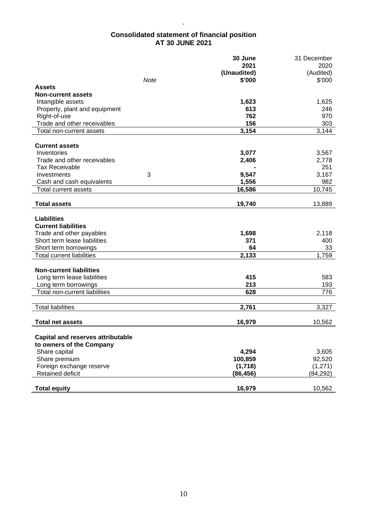## **Consolidated statement of financial position AT 30 JUNE 2021**

 $\ddot{\phantom{0}}$ 

|                                          | 30 June     | 31 December |
|------------------------------------------|-------------|-------------|
|                                          | 2021        | 2020        |
|                                          | (Unaudited) | (Audited)   |
| Note                                     | \$'000      | \$'000      |
| <b>Assets</b>                            |             |             |
| <b>Non-current assets</b>                |             |             |
| Intangible assets                        | 1,623       | 1,625       |
| Property, plant and equipment            | 613         | 246         |
| Right-of-use                             | 762         | 970         |
| Trade and other receivables              | 156         | 303         |
| Total non-current assets                 | 3,154       | 3,144       |
|                                          |             |             |
| <b>Current assets</b>                    |             |             |
| Inventories                              | 3,077       | 3,567       |
| Trade and other receivables              | 2,406       | 2,778       |
| <b>Tax Receivable</b>                    |             | 251         |
| 3<br>Investments                         | 9,547       | 3,167       |
| Cash and cash equivalents                | 1,556       | 982         |
| Total current assets                     | 16,586      | 10,745      |
|                                          |             |             |
| <b>Total assets</b>                      | 19,740      | 13,889      |
|                                          |             |             |
| <b>Liabilities</b>                       |             |             |
| <b>Current liabilities</b>               |             |             |
| Trade and other payables                 | 1,698       | 2,118       |
| Short term lease liabilities             | 371         | 400         |
| Short term borrowings                    | 64          | 33          |
| <b>Total current liabilities</b>         | 2,133       | 1,759       |
|                                          |             |             |
| <b>Non-current liabilities</b>           |             |             |
| Long term lease liabilities              | 415         | 583         |
| Long term borrowings                     | 213         | 193         |
| Total non-current liabilities            | 628         | 776         |
|                                          |             |             |
| <b>Total liabilities</b>                 | 2,761       | 3,327       |
|                                          |             |             |
| <b>Total net assets</b>                  | 16,979      | 10,562      |
|                                          |             |             |
| <b>Capital and reserves attributable</b> |             |             |
| to owners of the Company                 |             |             |
| Share capital                            | 4,294       | 3,605       |
| Share premium                            | 100,859     | 92,520      |
|                                          |             |             |
| Foreign exchange reserve                 | (1,718)     | (1,271)     |
| Retained deficit                         | (86, 456)   | (84, 292)   |
|                                          |             |             |
| <b>Total equity</b>                      | 16,979      | 10,562      |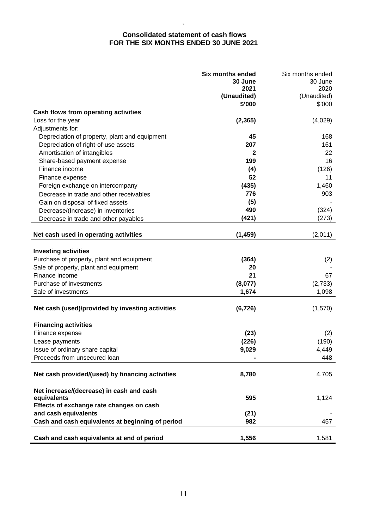### ` **Consolidated statement of cash flows FOR THE SIX MONTHS ENDED 30 JUNE 2021**

|                                                  | <b>Six months ended</b><br>30 June | Six months ended<br>30 June |
|--------------------------------------------------|------------------------------------|-----------------------------|
|                                                  | 2021                               | 2020                        |
|                                                  | (Unaudited)                        | (Unaudited)                 |
|                                                  | \$'000                             | \$'000                      |
| Cash flows from operating activities             |                                    |                             |
| Loss for the year                                | (2, 365)                           | (4,029)                     |
| Adjustments for:                                 |                                    |                             |
| Depreciation of property, plant and equipment    | 45                                 | 168                         |
| Depreciation of right-of-use assets              | 207                                | 161                         |
| Amortisation of intangibles                      | 2                                  | 22                          |
| Share-based payment expense                      | 199                                | 16                          |
| Finance income                                   | (4)                                | (126)                       |
| Finance expense                                  | 52                                 | 11                          |
| Foreign exchange on intercompany                 | (435)                              | 1,460                       |
| Decrease in trade and other receivables          | 776                                | 903                         |
| Gain on disposal of fixed assets                 | (5)                                |                             |
| Decrease/(Increase) in inventories               | 490                                | (324)                       |
| Decrease in trade and other payables             | (421)                              | (273)                       |
|                                                  |                                    |                             |
| Net cash used in operating activities            | (1, 459)                           | (2,011)                     |
|                                                  |                                    |                             |
| <b>Investing activities</b>                      |                                    |                             |
| Purchase of property, plant and equipment        | (364)                              | (2)                         |
| Sale of property, plant and equipment            | 20                                 |                             |
| Finance income                                   | 21                                 | 67                          |
| Purchase of investments                          | (8,077)                            | (2,733)                     |
| Sale of investments                              | 1,674                              | 1,098                       |
|                                                  |                                    |                             |
| Net cash (used)/provided by investing activities | (6, 726)                           | (1,570)                     |
|                                                  |                                    |                             |
| <b>Financing activities</b>                      |                                    |                             |
| Finance expense                                  | (23)                               | (2)                         |
| Lease payments                                   | (226)                              | (190)                       |
| Issue of ordinary share capital                  | 9,029                              | 4,449                       |
| Proceeds from unsecured loan                     |                                    | 448                         |
|                                                  |                                    |                             |
| Net cash provided/(used) by financing activities | 8,780                              | 4,705                       |
|                                                  |                                    |                             |
| Net increase/(decrease) in cash and cash         |                                    |                             |
| equivalents                                      | 595                                | 1,124                       |
| Effects of exchange rate changes on cash         |                                    |                             |
| and cash equivalents                             | (21)                               |                             |
| Cash and cash equivalents at beginning of period | 982                                | 457                         |
|                                                  |                                    |                             |
| Cash and cash equivalents at end of period       | 1,556                              | 1,581                       |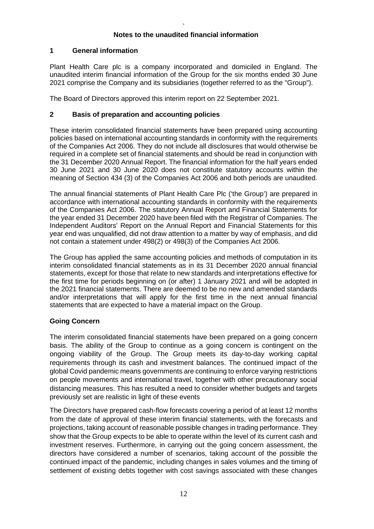#### ` **Notes to the unaudited financial information**

# **1 General information**

Plant Health Care plc is a company incorporated and domiciled in England. The unaudited interim financial information of the Group for the six months ended 30 June 2021 comprise the Company and its subsidiaries (together referred to as the "Group").

The Board of Directors approved this interim report on 22 September 2021.

# **2 Basis of preparation and accounting policies**

These interim consolidated financial statements have been prepared using accounting policies based on international accounting standards in conformity with the requirements of the Companies Act 2006. They do not include all disclosures that would otherwise be required in a complete set of financial statements and should be read in conjunction with the 31 December 2020 Annual Report. The financial information for the half years ended 30 June 2021 and 30 June 2020 does not constitute statutory accounts within the meaning of Section 434 (3) of the Companies Act 2006 and both periods are unaudited.

The annual financial statements of Plant Health Care Plc ('the Group') are prepared in accordance with international accounting standards in conformity with the requirements of the Companies Act 2006. The statutory Annual Report and Financial Statements for the year ended 31 December 2020 have been filed with the Registrar of Companies. The Independent Auditors' Report on the Annual Report and Financial Statements for this year end was unqualified, did not draw attention to a matter by way of emphasis, and did not contain a statement under 498(2) or 498(3) of the Companies Act 2006.

The Group has applied the same accounting policies and methods of computation in its interim consolidated financial statements as in its 31 December 2020 annual financial statements, except for those that relate to new standards and interpretations effective for the first time for periods beginning on (or after) 1 January 2021 and will be adopted in the 2021 financial statements. There are deemed to be no new and amended standards and/or interpretations that will apply for the first time in the next annual financial statements that are expected to have a material impact on the Group.

# **Going Concern**

The interim consolidated financial statements have been prepared on a going concern basis. The ability of the Group to continue as a going concern is contingent on the ongoing viability of the Group. The Group meets its day-to-day working capital requirements through its cash and investment balances. The continued impact of the global Covid pandemic means governments are continuing to enforce varying restrictions on people movements and international travel, together with other precautionary social distancing measures. This has resulted a need to consider whether budgets and targets previously set are realistic in light of these events

The Directors have prepared cash-flow forecasts covering a period of at least 12 months from the date of approval of these interim financial statements, with the forecasts and projections, taking account of reasonable possible changes in trading performance. They show that the Group expects to be able to operate within the level of its current cash and investment reserves. Furthermore, in carrying out the going concern assessment, the directors have considered a number of scenarios, taking account of the possible the continued impact of the pandemic, including changes in sales volumes and the timing of settlement of existing debts together with cost savings associated with these changes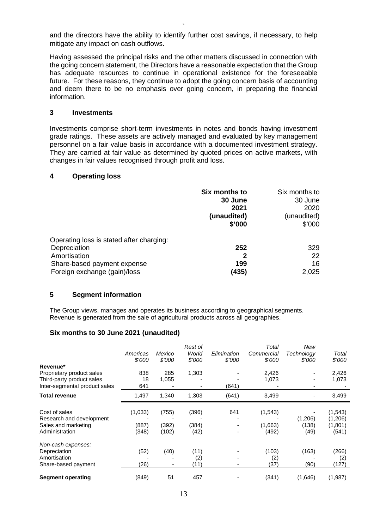` and the directors have the ability to identify further cost savings, if necessary, to help mitigate any impact on cash outflows.

Having assessed the principal risks and the other matters discussed in connection with the going concern statement, the Directors have a reasonable expectation that the Group has adequate resources to continue in operational existence for the foreseeable future. For these reasons, they continue to adopt the going concern basis of accounting and deem there to be no emphasis over going concern, in preparing the financial information.

## **3 Investments**

Investments comprise short-term investments in notes and bonds having investment grade ratings. These assets are actively managed and evaluated by key management personnel on a fair value basis in accordance with a documented investment strategy. They are carried at fair value as determined by quoted prices on active markets, with changes in fair values recognised through profit and loss.

### **4 Operating loss**

|                                          | Six months to | Six months to |
|------------------------------------------|---------------|---------------|
|                                          | 30 June       | 30 June       |
|                                          | 2021          | 2020          |
|                                          | (unaudited)   | (unaudited)   |
|                                          | \$'000        | \$'000        |
| Operating loss is stated after charging: |               |               |
| Depreciation                             | 252           | 329           |
| Amortisation                             | 2             | 22            |
| Share-based payment expense              | 199           | 16            |
| Foreign exchange (gain)/loss             | (435)         | 2,025         |

#### **5 Segment information**

The Group views, manages and operates its business according to geographical segments. Revenue is generated from the sale of agricultural products across all geographies.

### **Six months to 30 June 2021 (unaudited)**

| Revenue*                                  | Americas<br>\$'000 | Mexico<br>\$'000 | Rest of<br>World<br>\$'000 | Elimination<br>\$'000 | Total<br>Commercial<br>\$'000 | New<br>Technology<br>\$'000 | Total<br>\$'000    |
|-------------------------------------------|--------------------|------------------|----------------------------|-----------------------|-------------------------------|-----------------------------|--------------------|
| Proprietary product sales                 | 838                | 285              | 1,303                      |                       | 2,426                         |                             | 2,426              |
| Third-party product sales                 | 18                 | 1,055            |                            |                       | 1,073                         |                             | 1,073              |
| Inter-segmental product sales             | 641                |                  | $\overline{\phantom{0}}$   | (641)                 |                               |                             |                    |
| <b>Total revenue</b>                      | 1,497              | 1,340            | 1,303                      | (641)                 | 3,499                         |                             | 3,499              |
| Cost of sales<br>Research and development | (1,033)            | (755)            | (396)                      | 641                   | (1, 543)                      | (1,206)                     | (1,543)<br>(1,206) |
| Sales and marketing                       | (887)              | (392)            | (384)                      |                       | (1,663)                       | (138)                       | (1,801)            |
| Administration                            | (348)              | (102)            | (42)                       |                       | (492)                         | (49)                        | (541)              |
| Non-cash expenses:                        |                    |                  |                            |                       |                               |                             |                    |
| Depreciation                              | (52)               | (40)             | (11)                       |                       | (103)                         | (163)                       | (266)              |
| Amortisation                              |                    |                  | (2)                        |                       | (2)                           |                             | (2)                |
| Share-based payment                       | (26)               | ٠                | (11)                       |                       | (37)                          | (90)                        | (127)              |
| <b>Segment operating</b>                  | (849)              | 51               | 457                        |                       | (341)                         | (1,646)                     | (1,987)            |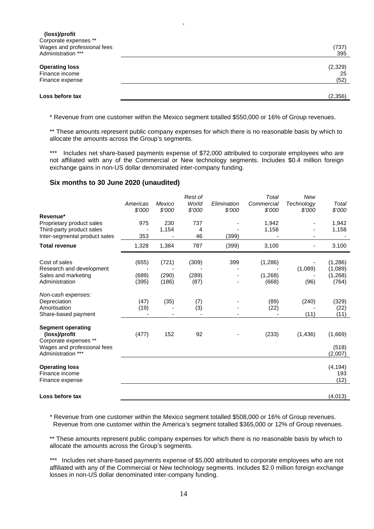| (loss)/profit<br>Corporate expenses **<br>Wages and professional fees<br>Administration *** | (737)<br>395          |
|---------------------------------------------------------------------------------------------|-----------------------|
| <b>Operating loss</b><br>Finance income<br>Finance expense                                  | (2,329)<br>25<br>(52) |
| Loss before tax                                                                             | (2,356)               |

`

\* Revenue from one customer within the Mexico segment totalled \$550,000 or 16% of Group revenues.

\*\* These amounts represent public company expenses for which there is no reasonable basis by which to allocate the amounts across the Group's segments.

\*\*\* Includes net share-based payments expense of \$72,000 attributed to corporate employees who are not affiliated with any of the Commercial or New technology segments. Includes \$0.4 million foreign exchange gains in non-US dollar denominated inter-company funding.

### **Six months to 30 June 2020 (unaudited)**

| Revenue*<br>Proprietary product sales<br>Third-party product sales<br>Inter-segmental product sales                     | Americas<br>\$'000<br>975<br>353 | Mexico<br>\$'000<br>230<br>1,154 | Rest of<br>World<br>\$'000<br>737<br>4<br>46 | Elimination<br>\$'000<br>(399) | Total<br>Commercial<br>\$'000<br>1,942<br>1,158 | New<br>Technology<br>\$'000 | Total<br>\$7000<br>1,942<br>1,158       |
|-------------------------------------------------------------------------------------------------------------------------|----------------------------------|----------------------------------|----------------------------------------------|--------------------------------|-------------------------------------------------|-----------------------------|-----------------------------------------|
| <b>Total revenue</b>                                                                                                    | 1,328                            | 1,384                            | 787                                          | (399)                          | 3,100                                           |                             | 3,100                                   |
| Cost of sales<br>Research and development<br>Sales and marketing<br>Administration                                      | (655)<br>(689)<br>(395)          | (721)<br>(290)<br>(186)          | (309)<br>(289)<br>(87)                       | 399                            | (1, 286)<br>(1,268)<br>(668)                    | (1,089)<br>(96)             | (1,286)<br>(1,089)<br>(1, 268)<br>(764) |
| Non-cash expenses:<br>Depreciation<br>Amortisation<br>Share-based payment                                               | (47)<br>(19)                     | (35)                             | (7)<br>(3)                                   |                                | (89)<br>(22)                                    | (240)<br>(11)               | (329)<br>(22)<br>(11)                   |
| <b>Segment operating</b><br>(loss)/profit<br>Corporate expenses **<br>Wages and professional fees<br>Administration *** | (477)                            | 152                              | 92                                           |                                | (233)                                           | (1, 436)                    | (1,669)<br>(518)<br>(2,007)             |
| <b>Operating loss</b><br>Finance income<br>Finance expense                                                              |                                  |                                  |                                              |                                |                                                 |                             | (4, 194)<br>193<br>(12)                 |
| Loss before tax                                                                                                         |                                  |                                  |                                              |                                |                                                 |                             | (4,013)                                 |

\* Revenue from one customer within the Mexico segment totalled \$508,000 or 16% of Group revenues. Revenue from one customer within the America's segment totalled \$365,000 or 12% of Group revenues.

\*\* These amounts represent public company expenses for which there is no reasonable basis by which to allocate the amounts across the Group's segments.

\*\*\* Includes net share-based payments expense of \$5,000 attributed to corporate employees who are not affiliated with any of the Commercial or New technology segments. Includes \$2.0 million foreign exchange losses in non-US dollar denominated inter-company funding.